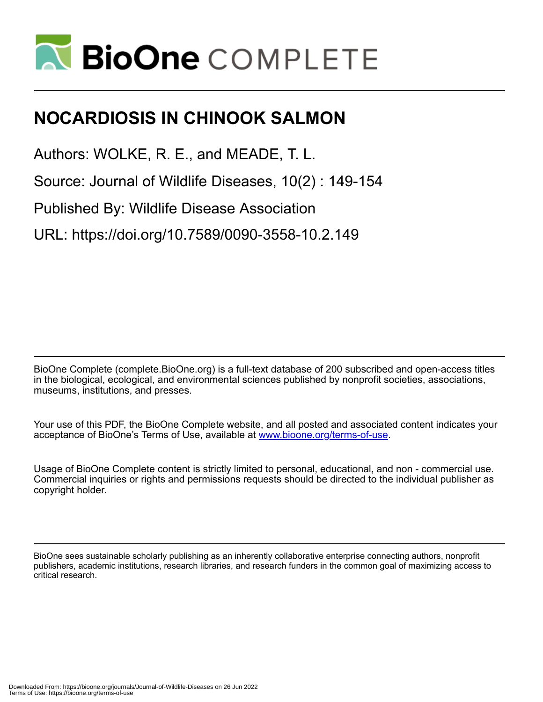

# **NOCARDIOSIS IN CHINOOK SALMON**

Authors: WOLKE, R. E., and MEADE, T. L.

Source: Journal of Wildlife Diseases, 10(2) : 149-154

Published By: Wildlife Disease Association

URL: https://doi.org/10.7589/0090-3558-10.2.149

BioOne Complete (complete.BioOne.org) is a full-text database of 200 subscribed and open-access titles in the biological, ecological, and environmental sciences published by nonprofit societies, associations, museums, institutions, and presses.

Your use of this PDF, the BioOne Complete website, and all posted and associated content indicates your acceptance of BioOne's Terms of Use, available at www.bioone.org/terms-of-use.

Usage of BioOne Complete content is strictly limited to personal, educational, and non - commercial use. Commercial inquiries or rights and permissions requests should be directed to the individual publisher as copyright holder.

BioOne sees sustainable scholarly publishing as an inherently collaborative enterprise connecting authors, nonprofit publishers, academic institutions, research libraries, and research funders in the common goal of maximizing access to critical research.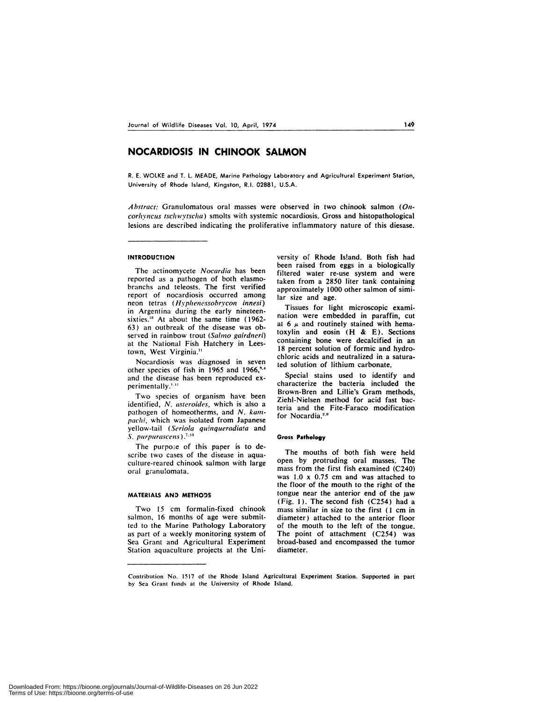## **NOCARDIOSIS IN CHINOOK SALMON**

R. E. WOLKE and T.L. MEADE, Marine Pathology Laboratory and Agricultural Experiment Station, University of Rhode Island, Kingston, RI. 02881, U.S.A.

*Abstract:* Granulomatous oral masses were observed in two chinook salmon *(Oncorhyncus tschwyischa)* smolts with systemic nocardiosis. Gross and histopathological lesions are described indicating the proliferative inflammatory nature of this diesase.

#### **INTRODUCTION**

The actinomycete *Nocardia* has been reported as a pathogen of both elasmobranchs and teleosts. The first verified report of nocardiosis occurred among neon tetras *(Hyphenessobrycon innesi)* in Argentina during the early nineteensixties.<sup>13</sup> At about the same time (1962-63) an outbreak of the disease was observed in rainbow trout *(Salmo gairdneri)* at the National Fish Hatchery in Leestown, West Virginia.<sup>11</sup>

Nocardiosis was diagnosed in seven other species of fish in 1965 and 1966," and the disease has been reproduced ex perimentally.<sup>1,11</sup>

Two species of organism have been identified, *N. asteroides,* which is also a pathogen of homeotherms, and *N. kampachi,* which was isolated from Japanese yellow-tail *(Serbia quinqueradiaa* and *S. purpurascens)*

The purpose of this paper is to describe two cases of the disease in aquaculture-reared chinook salmon with large oral granulomata.

#### MATERIALS AND METHODS

Two 15 cm formalin-fixed chinook salmon, 16 months of age were submitted to the Marine Pathology Laboratory as part of a weekly monitoring system of Sea Grant and Agricultural Experiment Station aquaculture projects at the University of Rhode Island. Both fish had been raised from eggs in a biologically filtered water re-use system and were taken from a 2850 liter tank containing approximately 1000 other salmon of similar size and age.

Tissues for light microscopic examination were embedded in paraffin, cut at 6  $\mu$  and routinely stained with hematoxylin and eosin (H & E). Sections containing bone were decalcified in an 18 percent solution of formic and hydrochloric acids and neutralized in a saturated solution of lithium carbonate.

Special stains used to identify and characterize the bacteria included the Brown-Bren and Lillie's Gram methods, Ziehl-Nielsen method for acid fast bacteria and the Fite-Faraco modification for Nocardia.<sup>2,6</sup>

#### **Gross Pathology**

The mouths of both fish were held open by protruding oral masses. The mass from the first fish examined (C240) was 1.0 x 0.75 cm and was attached to the floor of the mouth to the right of the tongue near the anterior end of the jaw (Fig. 1). The second fish (C254) had a mass similar in size to the first (1 cm in diameter) attached to the anterior floor of the mouth to the left of the tongue. The point of attachment (C254) was broad-based and encompassed the tumor diameter.

Contribution No. 1517 of the Rhode Island Agricultural Experiment Station. Supported in part by Sea Grant funds at the University of Rhode Island.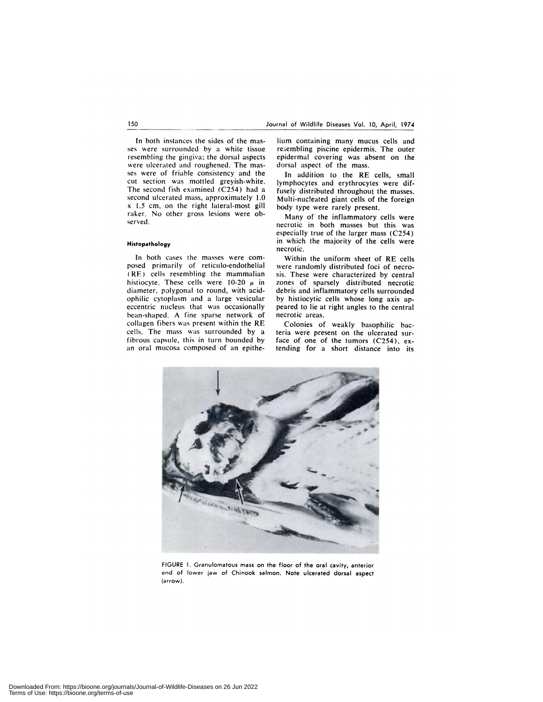In both instances the sides of the mas ses were surrounded by a white tissue resembling the gingiva: the dorsal aspects were ulcerated and roughened. The mas ses were of friable consistency and the cut section was mottled greyish-white. The second fish examined (C254) had a second ulcerated mass, approximately 1.0 x 1.5 cm, on the right lateral-most gill raker. No other gross lesions were ob served.

#### **Histopathology**

In both cases the masses were com posed primarily of reticulo-endothelial (RE) cells resembling the mammalian histiocyte. These cells were 10-20  $\mu$  in diameter, polygonal to round, with acidophilic cytoplasm and a large vesicular eccentric nucleus that was occasionally bean-shaped. A fine sparse network of collagen fibers was present within the RE cells. The mass was surrounded by a fibrous capsule, this in turn bounded by an oral mucosa composed of an epithe-

lium containing many mucus cells and re3embhing piscine epidermis. The outer epidermal covering was absent on the dorsal aspect of the mass.

In addition to the RE cells, small lymphocytes and erythrocytes were diffusely distributed throughout the masses. Multi-nucleated giant cells of the foreign body type were rarely present.

Many of the inflammatory cells were necrotic in both masses but this was especially true of the larger mass (C254) in which the majority of the cells were necrotic.

Within the uniform sheet of RE cells were randomly distributed foci of necro sis, These were characterized by central zones of sparsely distributed necrotic debris and inflammatory cells surrounded by histiocytic cells whose long axis appeared to lie at right angles to the central necrotic areas.

Colonies of weakly basophilic bacteria were present on the ulcerated surface of one of the tumors (C254), extending for a short distance into its



FIGURE 1. Granulomatous mass on the floor of the oral cavity, anterior end of lower jaw of Chinook salmon. Note ulcerated dorsal aspect (arrow).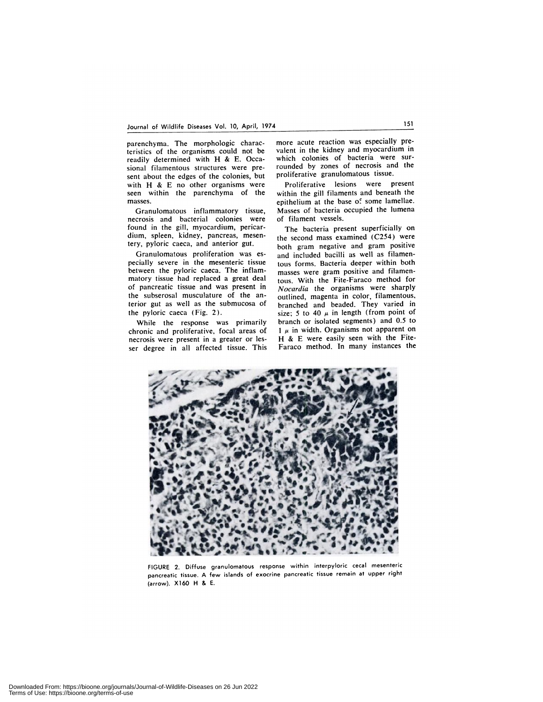parenchyma. The morphologic characteristics of the organisms could not be readily determined with H & E. Occasional filamentous structures were pre sent about the edges of the colonies, but with H & E no other organisms were seen within the parenchyma of the masses.

Granulomatous inflammatory tissue, necrosis and bacterial colonies were found in the gill, myocardium, pericardium, spleen, kidney, pancreas, mesentery, pyloric caeca, and anterior gut.

Granulomatous proliferation was es pecially severe in the mesenteric tissue between the pyloric caeca. The inflammatory tissue had replaced a great deal of pancreatic tissue and was present in the subserosal musculature of the anterior gut as well as the submucosa of the pyhoric caeca (Fig. 2).

While the response was primarily chronic and proliferative, focal areas of necrosis were present in a greater or les ser degree in all affected tissue. This

more acute reaction was especially prevalent in the kidney and myocardium in which colonies of bacteria were surrounded by zones of necrosis and the proliferative granulomatous tissue.

Proliferative lesions were present within the gill filaments and beneath the epithelium at the base of some lamellae. Masses of bacteria occupied the lumena of filament vessels.

The bacteria present superficially on the second mass examined (C254) were both gram negative and gram positive and included bacilli as well as filamentous forms. Bacteria deeper within both masses were gram positive and filamentous. With the Fite-Faraco method for *Nocardia* the organisms were sharply outlined, magenta in color, filamentous, branched and beaded. They varied in size; 5 to 40  $\mu$  in length (from point of branch or isolated segments) and 0.5 to  $1 \mu$  in width. Organisms not apparent on **H & E** were easily seen with the Fite-Faraco method. In many instances the



FIGURE 2. Diffuse granulomatous response within interpyloric cecal mesenteric pancreatic tissue. A few islands of exocrine pancreatic tissue remain at upper right (arrow). X160 H & E.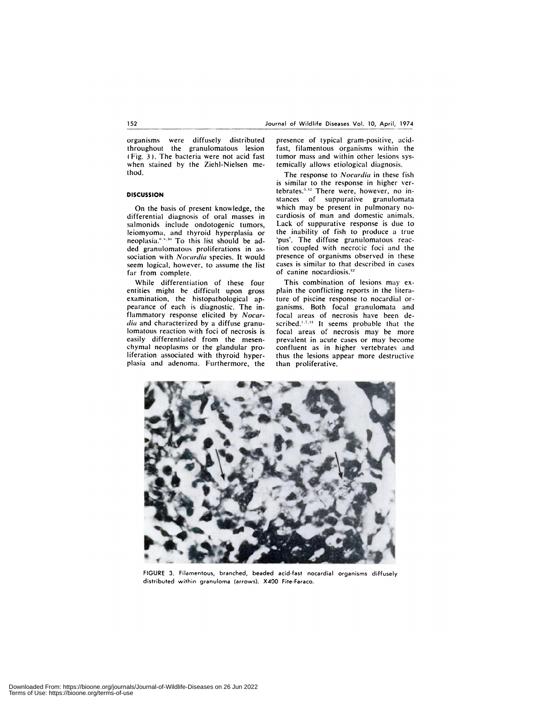organisms were diffusely distributed throughout the granulomatous lesion (Fig. *3).* The bacteria were not acid fast when stained by the Ziehl-Nielsen method.

### **DISCUSSION**

On the basis of present knowledge, the differential diagnosis of oral masses in salmonids include ondotogenic tumors, leiomyoma, and thyroid hyperplasia or neoplasia."<sup>510</sup> To this list should be added granulomatous proliferations in as sociation with *Nocardia* species. It would seem logical, however, to assume the list far from complete.

While differentiation of these four entities might be difficult upon gross examination, the histopathological appearance of each is diagnostic. The inflammatory response elicited by *Nocar dia* and characterized by a diffuse granulomatous reaction with foci of necrosis is easily differentiated from the mesen chymal neoplasms or the glandular proliferation associated with thyroid hyperplasia and adenoma. Furthermore, the

presence of typical gram-positive, acid fast, filamentous organisms within the tumor mass and within other lesions systemically allows etiological diagnosis.

The response to *Nocardia* in these fish is similar to the response in higher vertebrates.<sup>5,12</sup> There were, however, no instances of suppurative granulomata which may be present in pulmonary no cardiosis of man and domestic animals. Lack of suppurative response is due to the inability of fish to produce a true 'pus'. The diffuse granulomatous reaction coupled with necrotic foci and the presence of organisms observed in these cases is similar to that described in cases of canine nocardiosis.<sup>12</sup>

This combination of lesions may ex plain the conflicting reports in the literature of piscine response to nocardial or ganisms. Both focal granulomata and focal areas of necrosis have been de scribed.<sup>1,7,11</sup> It seems probable that the focal areas of necrosis may be more prevalent in acute cases or may become confluent as in higher vertebrates and thus the lesions appear more destructive than proliferative.



FIGURE 3. Filamentous, branched, beaded acid-fast nocardial organisms diffusely distributed within granuloma (arrows). X400 Fite-Faraco.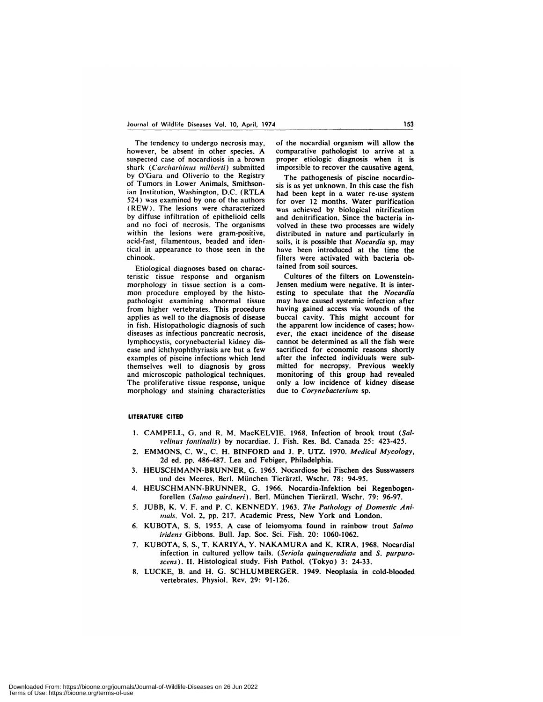The tendency to undergo necrosis may, however, be absent in other species. A suspected case of nocardiosis in a brown shark (Carcharhinus milberti) submitted by O'Gara and Oliverio to the Registry of Tumors in Lower Animals, Smithsonian Institution, Washington, D.C. (RTLA 524) was examined by one of the authors **(REW).** The lesions were characterized by diffuse infiltration of epithelioid cells and no foci of necrosis. The organisms within the lesions were gram-positive, acid-fast, filamentous, beaded and identical in appearance to those seen in the chinook.

Etiological diagnoses based on characteristic tissue response and organism morphology in tissue section is a com mon procedure employed by the histopathologist examining abnormal tissue from higher vertebrates. This procedure applies as well to the diagnosis of disease in fish. Histopathologic diagnosis of such diseases as infectious pancreatic necrosis, lymphocystis, corynebacterial kidney dis ease and ichthyophthyriasis are but a few examples of piscine infections which lend themselves well to diagnosis by gross and microscopic pathological techniques. The proliferative tissue response, unique morphology and staining characteristics of the nocardial organism will allow the comparative pathologist to arrive at a proper etiologic diagnosis when it is impossible to recover the causative agent.

The pathogenesis of piscine nocardiosis is as yet unknown. In this case the fish had been kept in a water re-use system for over 12 months. Water purification was achieved by biological nitrification and denitrification. Since the bacteria involved in these two processes are widely distributed in nature and particularly in soils, it is possible that *Nocardia* sp. may have been introduced at the time the filters were activated with bacteria obtained from soil sources.

Cultures of the filters on Lowenstein-Jensen medium were negative. It is interesting to speculate that the *Nocardia* may have caused systemic infection after having gained access via wounds of the buccal cavity. This might account for the apparent low incidence of cases; how ever, the exact incidence of the disease cannot be determined as all the fish were sacrificed for economic reasons shortly after the infected individuals were submitted for necropsy. Previous weekly monitoring of this group had revealed only a low incidence of kidney disease due to *Corynebacterium* sp.

#### **LITERATURE CITED**

- 1. CAMPELL, G. and R. M. MacKELVIE. 1968. Infection of brook trout *(Sali'elinus fontinalis)* by nocardiae. J. Fish. Res. Bd. Canada 25: 423-425.
- 2. EMMONS, C. W., C. H. BINFORD and J. P. UTZ. 1970. *Medical Mycology,* 2d ed.pp. 486-487. Lea and Febiger, Philadelphia.
- 3. HEUSCHMANN-BRUNNER, G. 1965. Nocardiose bei Fischen des Susswassers und des Meeres. Berl. München Tierärztl. Wschr. 78: 94-95.
- 4. HEUSCHMANN-BRUNNER, G. 1966. Nocardia-Infektion bei Regenbogenforellen (Salmo gairdneri). Berl. München Tierärztl. Wschr. 79: 96-97.
- 5. JUBB, K. V. F. and P.C. KENNEDY. 1963. *The Pathology of Domestic Ani* mals. Vol. 2, pp. 217. Academic Press, New York and London.
- 6. KUBOTA, 5. 5. 1955. A case of leiomyoma found in rainbow trout *Salmo iridens* Gibbons. Bull. Jap. Soc. Sci. Fish. 20: 1060-1062.
- 7. KUBOTA, S. S., T. KARIYA, Y. NAKAMURA and K. KIRA. 1968. Nocardial infection in cultured yellow tails. *(Seriola quinqueradiaz'a* and *S. purpuro* scens). II. Histological study. Fish Pathol. (Tokyo) 3: 24-33.
- 8. LUCKE, B. and H. G. SCHLUMBERGER. 1949. Neoplasia in cold-blooded vertebrates. Physiol. Rev. 29: 91-126.